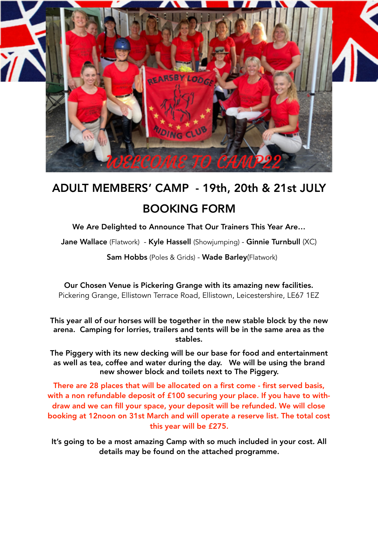

## ADULT MEMBERS' CAMP - 19th, 20th & 21st JULY BOOKING FORM

We Are Delighted to Announce That Our Trainers This Year Are…

Jane Wallace (Flatwork) - Kyle Hassell (Showjumping) - Ginnie Turnbull (XC)

Sam Hobbs (Poles & Grids) - Wade Barley(Flatwork)

Our Chosen Venue is Pickering Grange with its amazing new facilities. Pickering Grange, Ellistown Terrace Road, Ellistown, Leicestershire, LE67 1EZ

This year all of our horses will be together in the new stable block by the new arena. Camping for lorries, trailers and tents will be in the same area as the stables.

The Piggery with its new decking will be our base for food and entertainment as well as tea, coffee and water during the day. We will be using the brand new shower block and toilets next to The Piggery.

There are 28 places that will be allocated on a first come - first served basis, with a non refundable deposit of £100 securing your place. If you have to withdraw and we can fill your space, your deposit will be refunded. We will close booking at 12noon on 31st March and will operate a reserve list. The total cost this year will be £275.

It's going to be a most amazing Camp with so much included in your cost. All details may be found on the attached programme.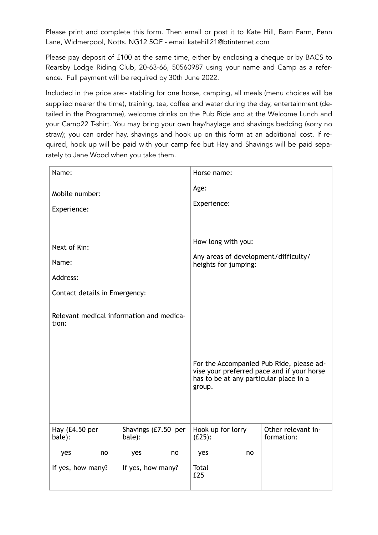Please print and complete this form. Then email or post it to Kate Hill, Barn Farm, Penn Lane, Widmerpool, Notts. NG12 5QF - email katehill21@btinternet.com

Please pay deposit of £100 at the same time, either by enclosing a cheque or by BACS to Rearsby Lodge Riding Club, 20-63-66, 50560987 using your name and Camp as a reference. Full payment will be required by 30th June 2022.

Included in the price are:- stabling for one horse, camping, all meals (menu choices will be supplied nearer the time), training, tea, coffee and water during the day, entertainment (detailed in the Programme), welcome drinks on the Pub Ride and at the Welcome Lunch and your Camp22 T-shirt. You may bring your own hay/haylage and shavings bedding (sorry no straw); you can order hay, shavings and hook up on this form at an additional cost. If required, hook up will be paid with your camp fee but Hay and Shavings will be paid separately to Jane Wood when you take them.

| Name:                                             |                               | Horse name:                                                                                                                                |                                  |  |
|---------------------------------------------------|-------------------------------|--------------------------------------------------------------------------------------------------------------------------------------------|----------------------------------|--|
| Mobile number:                                    |                               | Age:                                                                                                                                       |                                  |  |
| Experience:                                       |                               | Experience:                                                                                                                                |                                  |  |
|                                                   |                               |                                                                                                                                            |                                  |  |
|                                                   |                               | How long with you:                                                                                                                         |                                  |  |
| Next of Kin:                                      |                               | Any areas of development/difficulty/                                                                                                       |                                  |  |
| Name:                                             |                               | heights for jumping:                                                                                                                       |                                  |  |
| Address:                                          |                               |                                                                                                                                            |                                  |  |
| Contact details in Emergency:                     |                               |                                                                                                                                            |                                  |  |
| Relevant medical information and medica-<br>tion: |                               | For the Accompanied Pub Ride, please ad-<br>vise your preferred pace and if your horse<br>has to be at any particular place in a<br>group. |                                  |  |
| Hay (£4.50 per<br>bale):                          | Shavings (£7.50 per<br>bale): | Hook up for lorry<br>$(E25)$ :                                                                                                             | Other relevant in-<br>formation: |  |
| no<br>yes                                         | yes<br>no                     | yes<br>no                                                                                                                                  |                                  |  |
| If yes, how many?                                 | If yes, how many?             | Total<br>£25                                                                                                                               |                                  |  |